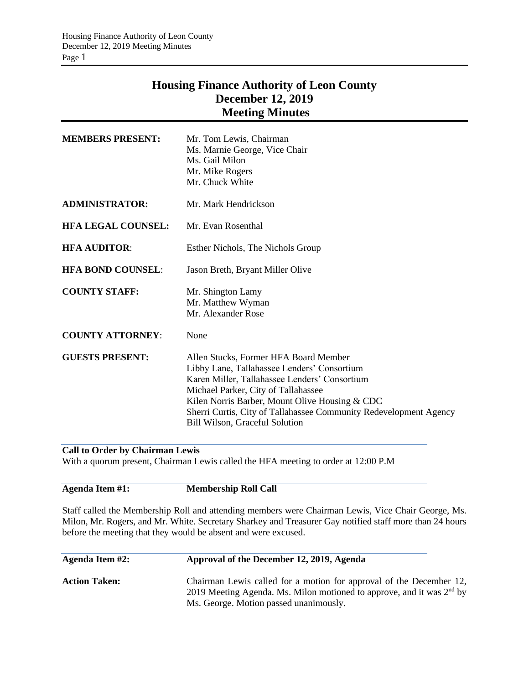# **Housing Finance Authority of Leon County December 12, 2019 Meeting Minutes**

| <b>MEMBERS PRESENT:</b>   | Mr. Tom Lewis, Chairman<br>Ms. Marnie George, Vice Chair<br>Ms. Gail Milon<br>Mr. Mike Rogers<br>Mr. Chuck White                                                                                                                                                                                                                      |
|---------------------------|---------------------------------------------------------------------------------------------------------------------------------------------------------------------------------------------------------------------------------------------------------------------------------------------------------------------------------------|
| <b>ADMINISTRATOR:</b>     | Mr. Mark Hendrickson                                                                                                                                                                                                                                                                                                                  |
| <b>HFA LEGAL COUNSEL:</b> | Mr. Evan Rosenthal                                                                                                                                                                                                                                                                                                                    |
| <b>HFA AUDITOR:</b>       | Esther Nichols, The Nichols Group                                                                                                                                                                                                                                                                                                     |
| <b>HFA BOND COUNSEL:</b>  | Jason Breth, Bryant Miller Olive                                                                                                                                                                                                                                                                                                      |
| <b>COUNTY STAFF:</b>      | Mr. Shington Lamy<br>Mr. Matthew Wyman<br>Mr. Alexander Rose                                                                                                                                                                                                                                                                          |
| <b>COUNTY ATTORNEY:</b>   | None                                                                                                                                                                                                                                                                                                                                  |
| <b>GUESTS PRESENT:</b>    | Allen Stucks, Former HFA Board Member<br>Libby Lane, Tallahassee Lenders' Consortium<br>Karen Miller, Tallahassee Lenders' Consortium<br>Michael Parker, City of Tallahassee<br>Kilen Norris Barber, Mount Olive Housing & CDC<br>Sherri Curtis, City of Tallahassee Community Redevelopment Agency<br>Bill Wilson, Graceful Solution |

#### **Call to Order by Chairman Lewis**

With a quorum present, Chairman Lewis called the HFA meeting to order at 12:00 P.M

#### **Agenda Item #1: Membership Roll Call**

Staff called the Membership Roll and attending members were Chairman Lewis, Vice Chair George, Ms. Milon, Mr. Rogers, and Mr. White. Secretary Sharkey and Treasurer Gay notified staff more than 24 hours before the meeting that they would be absent and were excused.

| <b>Agenda Item #2:</b> | Approval of the December 12, 2019, Agenda                                                                                                                                                |
|------------------------|------------------------------------------------------------------------------------------------------------------------------------------------------------------------------------------|
| <b>Action Taken:</b>   | Chairman Lewis called for a motion for approval of the December 12,<br>2019 Meeting Agenda. Ms. Milon motioned to approve, and it was $2nd$ by<br>Ms. George. Motion passed unanimously. |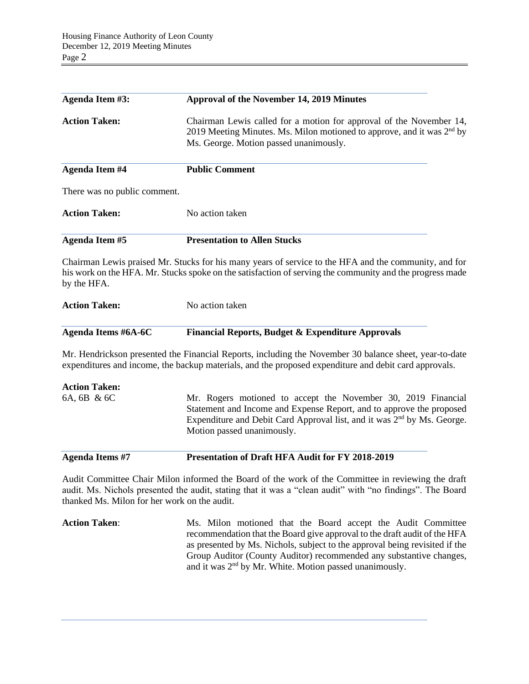| <b>Agenda Item #3:</b>                       | <b>Approval of the November 14, 2019 Minutes</b>                                                                                                                                                                                                           |
|----------------------------------------------|------------------------------------------------------------------------------------------------------------------------------------------------------------------------------------------------------------------------------------------------------------|
| <b>Action Taken:</b>                         | Chairman Lewis called for a motion for approval of the November 14,<br>2019 Meeting Minutes. Ms. Milon motioned to approve, and it was $2nd$ by<br>Ms. George. Motion passed unanimously.                                                                  |
| <b>Agenda Item #4</b>                        | <b>Public Comment</b>                                                                                                                                                                                                                                      |
| There was no public comment.                 |                                                                                                                                                                                                                                                            |
| <b>Action Taken:</b>                         | No action taken                                                                                                                                                                                                                                            |
| <b>Agenda Item #5</b>                        | <b>Presentation to Allen Stucks</b>                                                                                                                                                                                                                        |
| by the HFA.                                  | Chairman Lewis praised Mr. Stucks for his many years of service to the HFA and the community, and for<br>his work on the HFA. Mr. Stucks spoke on the satisfaction of serving the community and the progress made                                          |
| <b>Action Taken:</b>                         | No action taken                                                                                                                                                                                                                                            |
| <b>Agenda Items #6A-6C</b>                   | Financial Reports, Budget & Expenditure Approvals                                                                                                                                                                                                          |
|                                              | Mr. Hendrickson presented the Financial Reports, including the November 30 balance sheet, year-to-date<br>expenditures and income, the backup materials, and the proposed expenditure and debit card approvals.                                            |
| <b>Action Taken:</b>                         |                                                                                                                                                                                                                                                            |
| 6A, 6B & 6C                                  | Mr. Rogers motioned to accept the November 30, 2019 Financial<br>Statement and Income and Expense Report, and to approve the proposed<br>Expenditure and Debit Card Approval list, and it was 2 <sup>nd</sup> by Ms. George.<br>Motion passed unanimously. |
| <b>Agenda Items #7</b>                       | Presentation of Draft HFA Audit for FY 2018-2019                                                                                                                                                                                                           |
| thanked Ms. Milon for her work on the audit. | Audit Committee Chair Milon informed the Board of the work of the Committee in reviewing the draft<br>audit. Ms. Nichols presented the audit, stating that it was a "clean audit" with "no findings". The Board                                            |
|                                              | $\sim$ $\sim$ $\sim$                                                                                                                                                                                                                                       |

Action Taken: Ms. Milon motioned that the Board accept the Audit Committee recommendation that the Board give approval to the draft audit of the HFA as presented by Ms. Nichols, subject to the approval being revisited if the Group Auditor (County Auditor) recommended any substantive changes, and it was 2<sup>nd</sup> by Mr. White. Motion passed unanimously.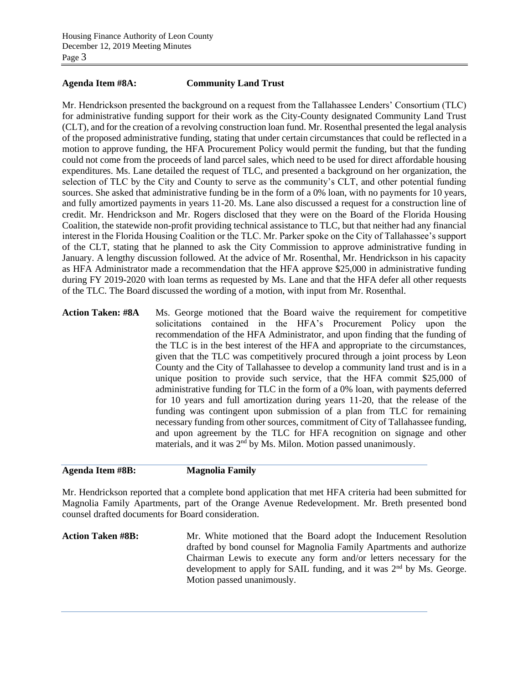## **Agenda Item #8A: Community Land Trust**

Mr. Hendrickson presented the background on a request from the Tallahassee Lenders' Consortium (TLC) for administrative funding support for their work as the City-County designated Community Land Trust (CLT), and for the creation of a revolving construction loan fund. Mr. Rosenthal presented the legal analysis of the proposed administrative funding, stating that under certain circumstances that could be reflected in a motion to approve funding, the HFA Procurement Policy would permit the funding, but that the funding could not come from the proceeds of land parcel sales, which need to be used for direct affordable housing expenditures. Ms. Lane detailed the request of TLC, and presented a background on her organization, the selection of TLC by the City and County to serve as the community's CLT, and other potential funding sources. She asked that administrative funding be in the form of a 0% loan, with no payments for 10 years, and fully amortized payments in years 11-20. Ms. Lane also discussed a request for a construction line of credit. Mr. Hendrickson and Mr. Rogers disclosed that they were on the Board of the Florida Housing Coalition, the statewide non-profit providing technical assistance to TLC, but that neither had any financial interest in the Florida Housing Coalition or the TLC. Mr. Parker spoke on the City of Tallahassee's support of the CLT, stating that he planned to ask the City Commission to approve administrative funding in January. A lengthy discussion followed. At the advice of Mr. Rosenthal, Mr. Hendrickson in his capacity as HFA Administrator made a recommendation that the HFA approve \$25,000 in administrative funding during FY 2019-2020 with loan terms as requested by Ms. Lane and that the HFA defer all other requests of the TLC. The Board discussed the wording of a motion, with input from Mr. Rosenthal.

Action Taken: #8A Ms. George motioned that the Board waive the requirement for competitive solicitations contained in the HFA's Procurement Policy upon the recommendation of the HFA Administrator, and upon finding that the funding of the TLC is in the best interest of the HFA and appropriate to the circumstances, given that the TLC was competitively procured through a joint process by Leon County and the City of Tallahassee to develop a community land trust and is in a unique position to provide such service, that the HFA commit \$25,000 of administrative funding for TLC in the form of a 0% loan, with payments deferred for 10 years and full amortization during years 11-20, that the release of the funding was contingent upon submission of a plan from TLC for remaining necessary funding from other sources, commitment of City of Tallahassee funding, and upon agreement by the TLC for HFA recognition on signage and other materials, and it was 2<sup>nd</sup> by Ms. Milon. Motion passed unanimously.

## **Agenda Item #8B: Magnolia Family**

Mr. Hendrickson reported that a complete bond application that met HFA criteria had been submitted for Magnolia Family Apartments, part of the Orange Avenue Redevelopment. Mr. Breth presented bond counsel drafted documents for Board consideration.

**Action Taken #8B:** Mr. White motioned that the Board adopt the Inducement Resolution drafted by bond counsel for Magnolia Family Apartments and authorize Chairman Lewis to execute any form and/or letters necessary for the development to apply for SAIL funding, and it was 2<sup>nd</sup> by Ms. George. Motion passed unanimously.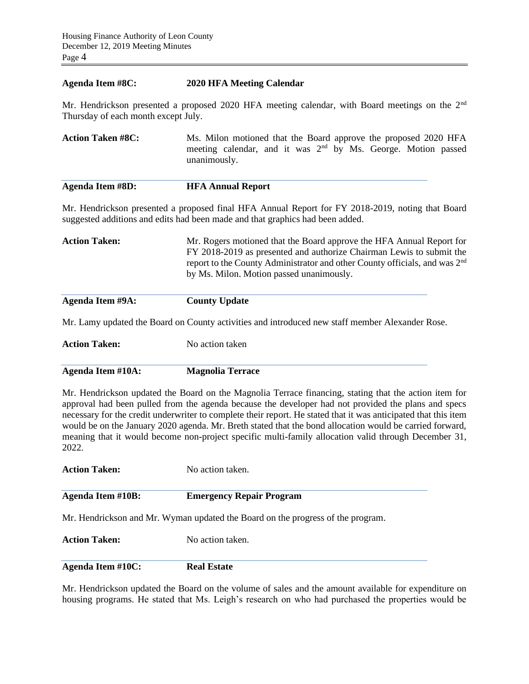#### **Agenda Item #8C: 2020 HFA Meeting Calendar**

Mr. Hendrickson presented a proposed 2020 HFA meeting calendar, with Board meetings on the 2<sup>nd</sup> Thursday of each month except July.

Action Taken #8C: Ms. Milon motioned that the Board approve the proposed 2020 HFA meeting calendar, and it was  $2<sup>nd</sup>$  by Ms. George. Motion passed unanimously.

| <b>Agenda Item #8D:</b> | <b>HFA Annual Report</b> |
|-------------------------|--------------------------|
|-------------------------|--------------------------|

Mr. Hendrickson presented a proposed final HFA Annual Report for FY 2018-2019, noting that Board suggested additions and edits had been made and that graphics had been added.

| <b>Action Taken:</b> | Mr. Rogers motioned that the Board approve the HFA Annual Report for                   |
|----------------------|----------------------------------------------------------------------------------------|
|                      | FY 2018-2019 as presented and authorize Chairman Lewis to submit the                   |
|                      | report to the County Administrator and other County officials, and was 2 <sup>nd</sup> |
|                      | by Ms. Milon. Motion passed unanimously.                                               |
|                      |                                                                                        |

| Agenda Item #9A: | <b>County Update</b> |
|------------------|----------------------|

Mr. Lamy updated the Board on County activities and introduced new staff member Alexander Rose.

**Action Taken:** No action taken

**Agenda Item #10A: Magnolia Terrace**

Mr. Hendrickson updated the Board on the Magnolia Terrace financing, stating that the action item for approval had been pulled from the agenda because the developer had not provided the plans and specs necessary for the credit underwriter to complete their report. He stated that it was anticipated that this item would be on the January 2020 agenda. Mr. Breth stated that the bond allocation would be carried forward, meaning that it would become non-project specific multi-family allocation valid through December 31, 2022.

| <b>Action Taken:</b> | No action taken. |
|----------------------|------------------|
|                      |                  |

# **Agenda Item #10B: Emergency Repair Program**

Mr. Hendrickson and Mr. Wyman updated the Board on the progress of the program.

**Action Taken:** No action taken.

**Agenda Item #10C: Real Estate**

Mr. Hendrickson updated the Board on the volume of sales and the amount available for expenditure on housing programs. He stated that Ms. Leigh's research on who had purchased the properties would be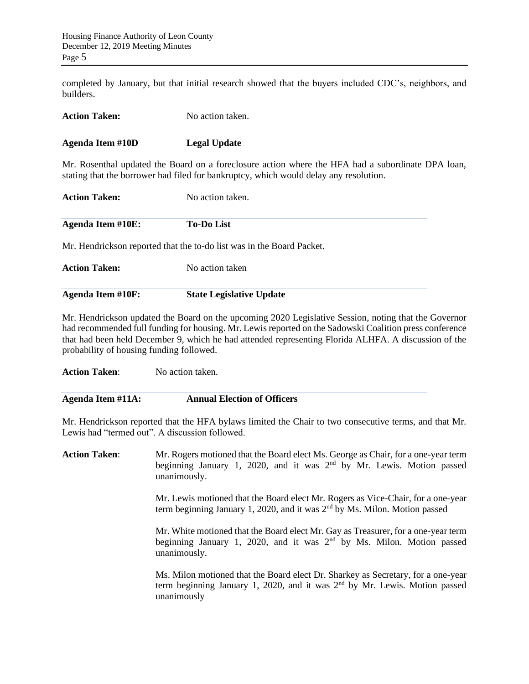completed by January, but that initial research showed that the buyers included CDC's, neighbors, and builders.

| <b>Action Taken:</b>    | No action taken.    |
|-------------------------|---------------------|
| <b>Agenda Item #10D</b> | <b>Legal Update</b> |

Mr. Rosenthal updated the Board on a foreclosure action where the HFA had a subordinate DPA loan, stating that the borrower had filed for bankruptcy, which would delay any resolution.

| <b>Action Taken:</b>     | No action taken.  |
|--------------------------|-------------------|
| <b>Agenda Item #10E:</b> | <b>To-Do List</b> |

Mr. Hendrickson reported that the to-do list was in the Board Packet.

| <b>Action Taken:</b> | No action taken                 |
|----------------------|---------------------------------|
| Agenda Item #10F:    | <b>State Legislative Update</b> |

Mr. Hendrickson updated the Board on the upcoming 2020 Legislative Session, noting that the Governor had recommended full funding for housing. Mr. Lewis reported on the Sadowski Coalition press conference that had been held December 9, which he had attended representing Florida ALHFA. A discussion of the probability of housing funding followed.

**Action Taken**: No action taken.

| Agenda Item #11A: | <b>Annual Election of Officers</b> |
|-------------------|------------------------------------|
|-------------------|------------------------------------|

Mr. Hendrickson reported that the HFA bylaws limited the Chair to two consecutive terms, and that Mr. Lewis had "termed out". A discussion followed.

| <b>Action Taken:</b> | Mr. Rogers motioned that the Board elect Ms. George as Chair, for a one-year term<br>beginning January 1, 2020, and it was $2nd$ by Mr. Lewis. Motion passed<br>unanimously.    |
|----------------------|---------------------------------------------------------------------------------------------------------------------------------------------------------------------------------|
|                      | Mr. Lewis motioned that the Board elect Mr. Rogers as Vice-Chair, for a one-year<br>term beginning January 1, 2020, and it was $2nd$ by Ms. Milon. Motion passed                |
|                      | Mr. White motioned that the Board elect Mr. Gay as Treasurer, for a one-year term<br>beginning January 1, 2020, and it was $2nd$ by Ms. Milon. Motion passed<br>unanimously.    |
|                      | Ms. Milon motioned that the Board elect Dr. Sharkey as Secretary, for a one-year<br>term beginning January 1, 2020, and it was $2nd$ by Mr. Lewis. Motion passed<br>unanimously |